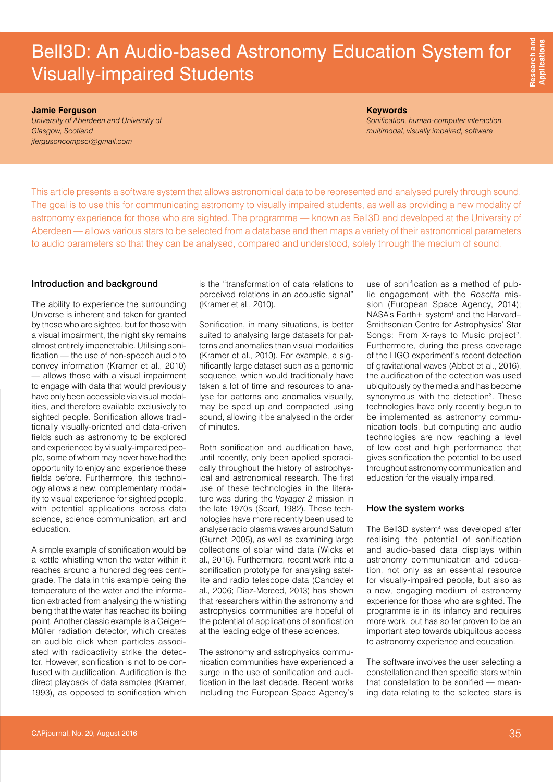## Bell3D: An Audio-based Astronomy Education System for Visually-impaired Students

**Jamie Ferguson**

*University of Aberdeen and University of Glasgow, Scotland [jfergusoncompsci@gmail.com](mailto:jfergusoncompsci@gmail.com)*

**Keywords**

*Sonification, human-computer interaction, multimodal, visually impaired, software*

This article presents a software system that allows astronomical data to be represented and analysed purely through sound. The goal is to use this for communicating astronomy to visually impaired students, as well as providing a new modality of astronomy experience for those who are sighted. The programme — known as Bell3D and developed at the University of Aberdeen — allows various stars to be selected from a database and then maps a variety of their astronomical parameters to audio parameters so that they can be analysed, compared and understood, solely through the medium of sound.

#### Introduction and background

The ability to experience the surrounding Universe is inherent and taken for granted by those who are sighted, but for those with a visual impairment, the night sky remains almost entirely impenetrable. Utilising sonification — the use of non-speech audio to convey information (Kramer et al., 2010) — allows those with a visual impairment to engage with data that would previously have only been accessible via visual modalities, and therefore available exclusively to sighted people. Sonification allows traditionally visually-oriented and data-driven fields such as astronomy to be explored and experienced by visually-impaired people, some of whom may never have had the opportunity to enjoy and experience these fields before. Furthermore, this technology allows a new, complementary modality to visual experience for sighted people, with potential applications across data science, science communication, art and education.

A simple example of sonification would be a kettle whistling when the water within it reaches around a hundred degrees centigrade. The data in this example being the temperature of the water and the information extracted from analysing the whistling being that the water has reached its boiling point. Another classic example is a Geiger– Müller radiation detector, which creates an audible click when particles associated with radioactivity strike the detector. However, sonification is not to be confused with audification. Audification is the direct playback of data samples (Kramer, 1993), as opposed to sonification which is the "transformation of data relations to perceived relations in an acoustic signal" (Kramer et al., 2010).

Sonification, in many situations, is better suited to analysing large datasets for patterns and anomalies than visual modalities (Kramer et al., 2010). For example, a significantly large dataset such as a genomic sequence, which would traditionally have taken a lot of time and resources to analyse for patterns and anomalies visually, may be sped up and compacted using sound, allowing it be analysed in the order of minutes.

Both sonification and audification have, until recently, only been applied sporadically throughout the history of astrophysical and astronomical research. The first use of these technologies in the literature was during the *Voyager 2* mission in the late 1970s (Scarf, 1982). These technologies have more recently been used to analyse radio plasma waves around Saturn (Gurnet, 2005), as well as examining large collections of solar wind data (Wicks et al., 2016). Furthermore, recent work into a sonification prototype for analysing satellite and radio telescope data (Candey et al., 2006; Diaz-Merced, 2013) has shown that researchers within the astronomy and astrophysics communities are hopeful of the potential of applications of sonification at the leading edge of these sciences.

The astronomy and astrophysics communication communities have experienced a surge in the use of sonification and audification in the last decade. Recent works including the European Space Agency's use of sonification as a method of public engagement with the *Rosetta* mission (European Space Agency, 2014); NASA's Earth+ system<sup>1</sup> and the Harvard-Smithsonian Centre for Astrophysics' Star Songs: From X-rays to Music project<sup>2</sup>. Furthermore, during the press coverage of the LIGO experiment's recent detection of gravitational waves (Abbot et al., 2016), the audification of the detection was used ubiquitously by the media and has become synonymous with the detection<sup>3</sup>. These technologies have only recently begun to be implemented as astronomy communication tools, but computing and audio technologies are now reaching a level of low cost and high performance that gives sonification the potential to be used throughout astronomy communication and education for the visually impaired.

#### How the system works

The Bell3D system<sup>4</sup> was developed after realising the potential of sonification and audio-based data displays within astronomy communication and education, not only as an essential resource for visually-impaired people, but also as a new, engaging medium of astronomy experience for those who are sighted. The programme is in its infancy and requires more work, but has so far proven to be an important step towards ubiquitous access to astronomy experience and education.

The software involves the user selecting a constellation and then specific stars within that constellation to be sonified — meaning data relating to the selected stars is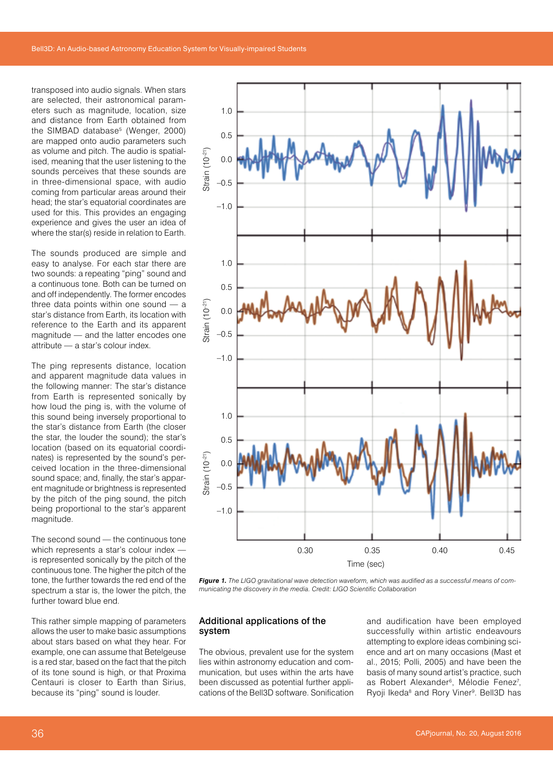transposed into audio signals. When stars are selected, their astronomical parameters such as magnitude, location, size and distance from Earth obtained from the SIMBAD database<sup>5</sup> (Wenger, 2000) are mapped onto audio parameters such as volume and pitch. The audio is spatialised, meaning that the user listening to the sounds perceives that these sounds are in three-dimensional space, with audio coming from particular areas around their head; the star's equatorial coordinates are used for this. This provides an engaging experience and gives the user an idea of where the star(s) reside in relation to Earth.

The sounds produced are simple and easy to analyse. For each star there are two sounds: a repeating "ping" sound and a continuous tone. Both can be turned on and off independently. The former encodes three data points within one sound — a star's distance from Earth, its location with reference to the Earth and its apparent magnitude — and the latter encodes one attribute — a star's colour index.

The ping represents distance, location and apparent magnitude data values in the following manner: The star's distance from Earth is represented sonically by how loud the ping is, with the volume of this sound being inversely proportional to the star's distance from Earth (the closer the star, the louder the sound); the star's location (based on its equatorial coordinates) is represented by the sound's perceived location in the three-dimensional sound space; and, finally, the star's apparent magnitude or brightness is represented by the pitch of the ping sound, the pitch being proportional to the star's apparent magnitude.

The second sound — the continuous tone which represents a star's colour index is represented sonically by the pitch of the continuous tone. The higher the pitch of the tone, the further towards the red end of the spectrum a star is, the lower the pitch, the further toward blue end.

This rather simple mapping of parameters allows the user to make basic assumptions about stars based on what they hear. For example, one can assume that Betelgeuse is a red star, based on the fact that the pitch of its tone sound is high, or that Proxima Centauri is closer to Earth than Sirius, because its "ping" sound is louder.



*Figure 1. The LIGO gravitational wave detection waveform, which was audified as a successful means of communicating the discovery in the media. Credit: LIGO Scientific Collaboration*

#### Additional applications of the system

The obvious, prevalent use for the system lies within astronomy education and communication, but uses within the arts have been discussed as potential further applications of the Bell3D software. Sonification and audification have been employed successfully within artistic endeavours attempting to explore ideas combining science and art on many occasions (Mast et al., 2015; Polli, 2005) and have been the basis of many sound artist's practice, such as Robert Alexander<sup>6</sup>, Mélodie Fenez<sup>7</sup>, Ryoji Ikeda<sup>8</sup> and Rory Viner<sup>9</sup>. Bell3D has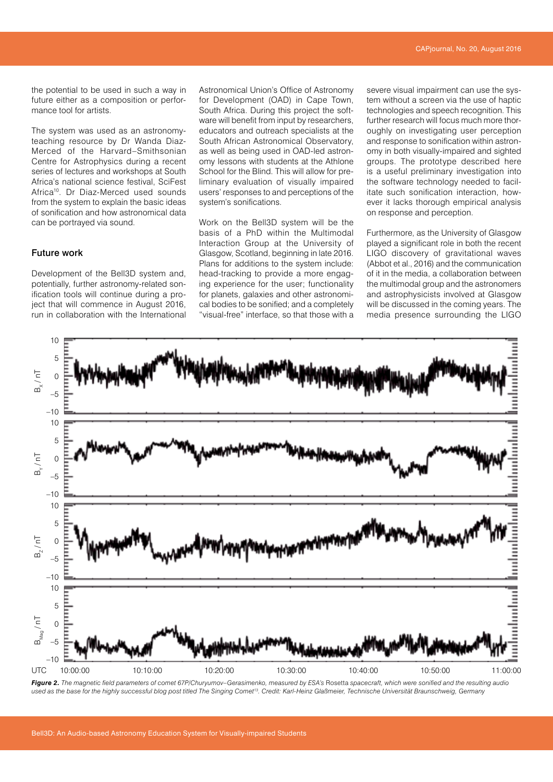the potential to be used in such a way in future either as a composition or performance tool for artists.

The system was used as an astronomyteaching resource by Dr Wanda Diaz-Merced of the Harvard–Smithsonian Centre for Astrophysics during a recent series of lectures and workshops at South Africa's national science festival, SciFest Africa<sup>10</sup>. Dr Diaz-Merced used sounds from the system to explain the basic ideas of sonification and how astronomical data can be portrayed via sound.

#### Future work

Development of the Bell3D system and, potentially, further astronomy-related sonification tools will continue during a project that will commence in August 2016, run in collaboration with the International Astronomical Union's Office of Astronomy for Development (OAD) in Cape Town, South Africa. During this project the software will benefit from input by researchers. educators and outreach specialists at the South African Astronomical Observatory, as well as being used in OAD-led astronomy lessons with students at the Athlone School for the Blind. This will allow for preliminary evaluation of visually impaired users' responses to and perceptions of the system's sonifications.

Work on the Bell3D system will be the basis of a PhD within the Multimodal Interaction Group at the University of Glasgow, Scotland, beginning in late 2016. Plans for additions to the system include: head-tracking to provide a more engaging experience for the user; functionality for planets, galaxies and other astronomical bodies to be sonified; and a completely "visual-free" interface, so that those with a severe visual impairment can use the system without a screen via the use of haptic technologies and speech recognition. This further research will focus much more thoroughly on investigating user perception and response to sonification within astronomy in both visually-impaired and sighted groups. The prototype described here is a useful preliminary investigation into the software technology needed to facilitate such sonification interaction, however it lacks thorough empirical analysis on response and perception.

Furthermore, as the University of Glasgow played a significant role in both the recent LIGO discovery of gravitational waves (Abbot et al., 2016) and the communication of it in the media, a collaboration between the multimodal group and the astronomers and astrophysicists involved at Glasgow will be discussed in the coming years. The media presence surrounding the LIGO



Figure 2. The magnetic field parameters of comet 67P/Churyumov–Gerasimenko, measured by ESA's Rosetta spacecraft, which were sonified and the resulting audio *used as the base for the highly successful blog post titled The Singing Comet13. Credit: Karl-Heinz Glaßmeier, Technische Universität Braunschweig, Germany*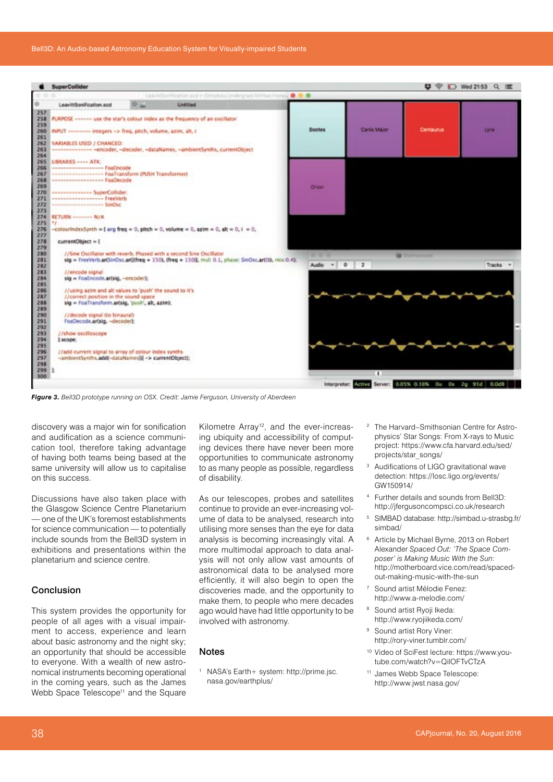

*Figure 3. Bell3D prototype running on OSX. Credit: Jamie Ferguson, University of Aberdeen*

discovery was a major win for sonification and audification as a science communication tool, therefore taking advantage of having both teams being based at the same university will allow us to capitalise on this success.

Discussions have also taken place with the Glasgow Science Centre Planetarium — one of the UK's foremost establishments for science communication — to potentially include sounds from the Bell3D system in exhibitions and presentations within the planetarium and science centre.

#### Conclusion

This system provides the opportunity for people of all ages with a visual impairment to access, experience and learn about basic astronomy and the night sky; an opportunity that should be accessible to everyone. With a wealth of new astronomical instruments becoming operational in the coming years, such as the James Webb Space Telescope<sup>11</sup> and the Square Kilometre Array<sup>12</sup>, and the ever-increasing ubiquity and accessibility of computing devices there have never been more opportunities to communicate astronomy to as many people as possible, regardless of disability.

As our telescopes, probes and satellites continue to provide an ever-increasing volume of data to be analysed, research into utilising more senses than the eye for data analysis is becoming increasingly vital. A more multimodal approach to data analysis will not only allow vast amounts of astronomical data to be analysed more efficiently, it will also begin to open the discoveries made, and the opportunity to make them, to people who mere decades ago would have had little opportunity to be involved with astronomy.

#### Notes

<sup>1</sup> NASA's Earth+ system: [http://prime.jsc.](http://prime.jsc.nasa.gov/earthplus) [nasa.gov/earthplus](http://prime.jsc.nasa.gov/earthplus)/

- <sup>2</sup> The Harvard–Smithsonian Centre for Astrophysics' Star Songs: From X-rays to Music project: [https://www.cfa.harvard.edu/sed/](https://www.cfa.harvard.edu/sed/projects/star_songs/) [projects/star\\_songs/](https://www.cfa.harvard.edu/sed/projects/star_songs/)
- <sup>3</sup> Audifications of LIGO gravitational wave detection: [https://losc.ligo.org/events/](https://losc.ligo.org/events/GW150914) [GW150914](https://losc.ligo.org/events/GW150914)/
- <sup>4</sup> Further details and sounds from Bell3D: <http://jfergusoncompsci.co.uk/research>
- <sup>5</sup> SIMBAD database: [http://simbad.u-strasbg.fr/](http://simbad.u-strasbg.fr/simbad) [simbad](http://simbad.u-strasbg.fr/simbad)/
- <sup>6</sup> Article by Michael Byrne, 2013 on Robert Alexander *Spaced Out: 'The Space Composer' is Making Music With the Sun*: [http://motherboard.vice.com/read/spaced](http://motherboard.vice.com/read/spaced-out-making-music-with-the-sun)[out-making-music-with-the-sun](http://motherboard.vice.com/read/spaced-out-making-music-with-the-sun)
- <sup>7</sup> Sound artist Mélodie Fenez: [http://www.a-melodie.com/](http://www.a-melodie.com)
- <sup>8</sup> Sound artist Ryoji Ikeda: [http://www.ryojiikeda.com/](http://www.ryojiikeda.com)
- <sup>9</sup> Sound artist Rory Viner: [http://rory-viner.tumblr.com/](http://rory-viner.tumblr.com)
- <sup>10</sup> Video of SciFest lecture: [https://www.you](https://www.youtube.com/watch?v=QilOFTvCTzA)[tube.com/watch?v=QilOFTvCTzA](https://www.youtube.com/watch?v=QilOFTvCTzA)
- <sup>11</sup> James Webb Space Telescope: <http://www.jwst.nasa.gov>/